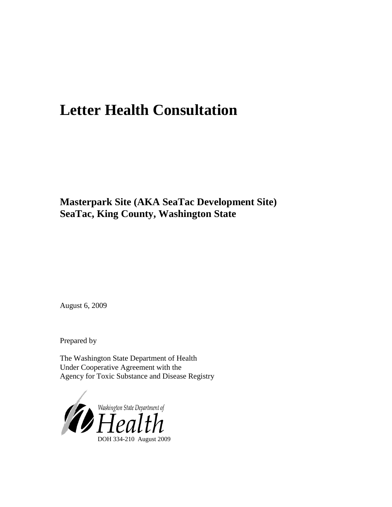# **Letter Health Consultation**

**Masterpark Site (AKA SeaTac Development Site) SeaTac, King County, Washington State**

August 6, 2009

Prepared by

The Washington State Department of Health Under Cooperative Agreement with the Agency for Toxic Substance and Disease Registry

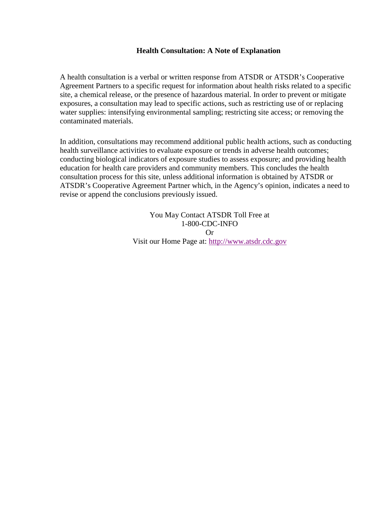#### **Health Consultation: A Note of Explanation**

A health consultation is a verbal or written response from ATSDR or ATSDR's Cooperative Agreement Partners to a specific request for information about health risks related to a specific site, a chemical release, or the presence of hazardous material. In order to prevent or mitigate exposures, a consultation may lead to specific actions, such as restricting use of or replacing water supplies: intensifying environmental sampling; restricting site access; or removing the contaminated materials.

In addition, consultations may recommend additional public health actions, such as conducting health surveillance activities to evaluate exposure or trends in adverse health outcomes; conducting biological indicators of exposure studies to assess exposure; and providing health education for health care providers and community members. This concludes the health consultation process for this site, unless additional information is obtained by ATSDR or ATSDR's Cooperative Agreement Partner which, in the Agency's opinion, indicates a need to revise or append the conclusions previously issued.

> You May Contact ATSDR Toll Free at 1-800-CDC-INFO Or Visit our Home Page at: [http://www.atsdr.cdc.gov](http://www.atsdr.cdc.gov/)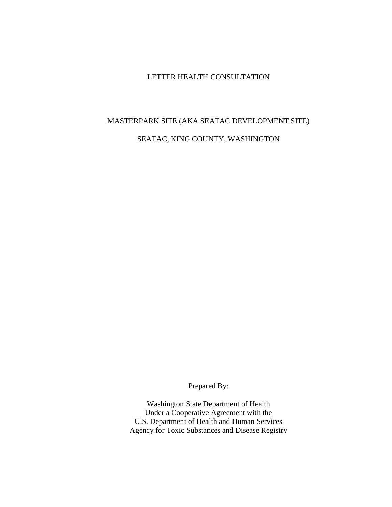#### LETTER HEALTH CONSULTATION

# MASTERPARK SITE (AKA SEATAC DEVELOPMENT SITE) SEATAC, KING COUNTY, WASHINGTON

Prepared By:

Washington State Department of Health Under a Cooperative Agreement with the U.S. Department of Health and Human Services Agency for Toxic Substances and Disease Registry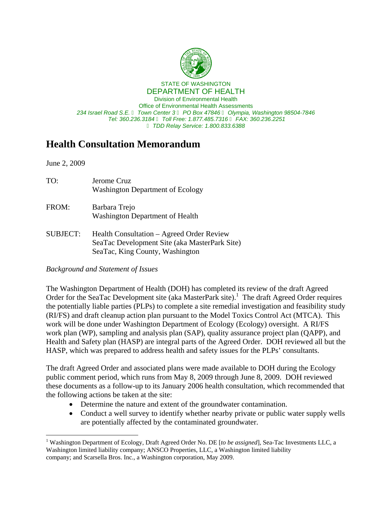

## **Health Consultation Memorandum**

June 2, 2009

| TO:             | Jerome Cruz<br><b>Washington Department of Ecology</b>                                                                        |
|-----------------|-------------------------------------------------------------------------------------------------------------------------------|
| FROM:           | Barbara Trejo<br><b>Washington Department of Health</b>                                                                       |
| <b>SUBJECT:</b> | Health Consultation – Agreed Order Review<br>SeaTac Development Site (aka MasterPark Site)<br>SeaTac, King County, Washington |

#### *Background and Statement of Issues*

The Washington Department of Health (DOH) has completed its review of the draft Agreed Order for the SeaTac Development site (aka MasterPark site).<sup>1</sup> The draft Agreed Order requires the potentially liable parties (PLPs) to complete a site remedial investigation and feasibility study (RI/FS) and draft cleanup action plan pursuant to the Model Toxics Control Act (MTCA). This work will be done under Washington Department of Ecology (Ecology) oversight. A RI/FS work plan (WP), sampling and analysis plan (SAP), quality assurance project plan (QAPP), and Health and Safety plan (HASP) are integral parts of the Agreed Order. DOH reviewed all but the HASP, which was prepared to address health and safety issues for the PLPs' consultants.

The draft Agreed Order and associated plans were made available to DOH during the Ecology public comment period, which runs from May 8, 2009 through June 8, 2009. DOH reviewed these documents as a follow-up to its January 2006 health consultation, which recommended that the following actions be taken at the site:

- Determine the nature and extent of the groundwater contamination.
- Conduct a well survey to identify whether nearby private or public water supply wells are potentially affected by the contaminated groundwater.

 $\overline{a}$ <sup>1</sup> Washington Department of Ecology, Draft Agreed Order No. DE [to be assigned], Sea-Tac Investments LLC, a Washington limited liability company; ANSCO Properties, LLC, a Washington limited liability company; and Scarsella Bros. Inc., a Washington corporation, May 2009.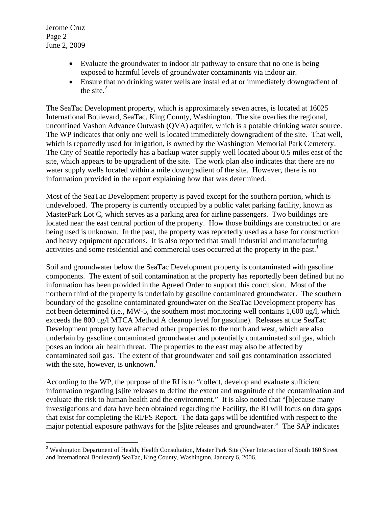Jerome Cruz Page 2 June 2, 2009

 $\overline{a}$ 

- Evaluate the groundwater to indoor air pathway to ensure that no one is being exposed to harmful levels of groundwater contaminants via indoor air.
- Ensure that no drinking water wells are installed at or immediately downgradient of the site. $^{2}$

The SeaTac Development property, which is approximately seven acres, is located at 16025 International Boulevard, SeaTac, King County, Washington. The site overlies the regional, unconfined Vashon Advance Outwash (QVA) aquifer, which is a potable drinking water source. The WP indicates that only one well is located immediately downgradient of the site. That well, which is reportedly used for irrigation, is owned by the Washington Memorial Park Cemetery. The City of Seattle reportedly has a backup water supply well located about 0.5 miles east of the site, which appears to be upgradient of the site. The work plan also indicates that there are no water supply wells located within a mile downgradient of the site. However, there is no information provided in the report explaining how that was determined.

activities and some residential and commercial uses occurred at the property in the past.<sup>1</sup> Most of the SeaTac Development property is paved except for the southern portion, which is undeveloped. The property is currently occupied by a public valet parking facility, known as MasterPark Lot C, which serves as a parking area for airline passengers. Two buildings are located near the east central portion of the property. How those buildings are constructed or are being used is unknown. In the past, the property was reportedly used as a base for construction and heavy equipment operations. It is also reported that small industrial and manufacturing

with the site, however, is unknown.<sup>1</sup> Soil and groundwater below the SeaTac Development property is contaminated with gasoline components. The extent of soil contamination at the property has reportedly been defined but no information has been provided in the Agreed Order to support this conclusion. Most of the northern third of the property is underlain by gasoline contaminated groundwater. The southern boundary of the gasoline contaminated groundwater on the SeaTac Development property has not been determined (i.e., MW-5, the southern most monitoring well contains 1,600 ug/l, which exceeds the 800 ug/l MTCA Method A cleanup level for gasoline). Releases at the SeaTac Development property have affected other properties to the north and west, which are also underlain by gasoline contaminated groundwater and potentially contaminated soil gas, which poses an indoor air health threat. The properties to the east may also be affected by contaminated soil gas. The extent of that groundwater and soil gas contamination associated

According to the WP, the purpose of the RI is to "collect, develop and evaluate sufficient information regarding [s]ite releases to define the extent and magnitude of the contamination and evaluate the risk to human health and the environment." It is also noted that "[b]ecause many investigations and data have been obtained regarding the Facility, the RI will focus on data gaps that exist for completing the RI/FS Report. The data gaps will be identified with respect to the major potential exposure pathways for the [s]ite releases and groundwater." The SAP indicates

 2 Washington Department of Health, Health Consultation**,** Master Park Site (Near Intersection of South 160 Street and International Boulevard) SeaTac, King County, Washington, January 6, 2006.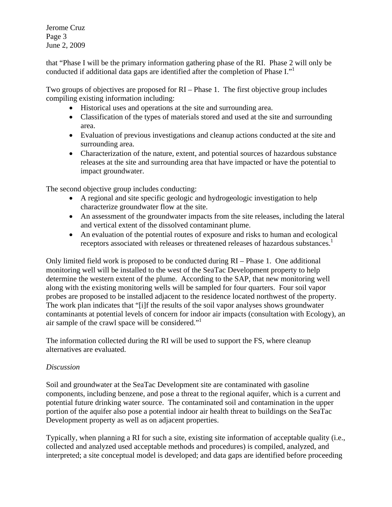Jerome Cruz Page 3 June 2, 2009

that "Phase I will be the primary information gathering phase of the RI. Phase 2 will only be conducted if additional data gaps are identified after the completion of Phase I."1

Two groups of objectives are proposed for RI – Phase 1. The first objective group includes compiling existing information including:

- Historical uses and operations at the site and surrounding area.
- Classification of the types of materials stored and used at the site and surrounding area.
- Evaluation of previous investigations and cleanup actions conducted at the site and surrounding area.
- Characterization of the nature, extent, and potential sources of hazardous substance releases at the site and surrounding area that have impacted or have the potential to impact groundwater.

The second objective group includes conducting:

- A regional and site specific geologic and hydrogeologic investigation to help characterize groundwater flow at the site.
- An assessment of the groundwater impacts from the site releases, including the lateral and vertical extent of the dissolved contaminant plume.
- An evaluation of the potential routes of exposure and risks to human and ecological receptors associated with releases or threatened releases of hazardous substances.<sup>1</sup>

air sample of the crawl space will be considered."<sup>1</sup> Only limited field work is proposed to be conducted during RI – Phase 1. One additional monitoring well will be installed to the west of the SeaTac Development property to help determine the western extent of the plume. According to the SAP, that new monitoring well along with the existing monitoring wells will be sampled for four quarters. Four soil vapor probes are proposed to be installed adjacent to the residence located northwest of the property. The work plan indicates that "[i]f the results of the soil vapor analyses shows groundwater contaminants at potential levels of concern for indoor air impacts (consultation with Ecology), an

The information collected during the RI will be used to support the FS, where cleanup alternatives are evaluated.

#### *Discussion*

Soil and groundwater at the SeaTac Development site are contaminated with gasoline components, including benzene, and pose a threat to the regional aquifer, which is a current and potential future drinking water source. The contaminated soil and contamination in the upper portion of the aquifer also pose a potential indoor air health threat to buildings on the SeaTac Development property as well as on adjacent properties.

Typically, when planning a RI for such a site, existing site information of acceptable quality (i.e., collected and analyzed used acceptable methods and procedures) is compiled, analyzed, and interpreted; a site conceptual model is developed; and data gaps are identified before proceeding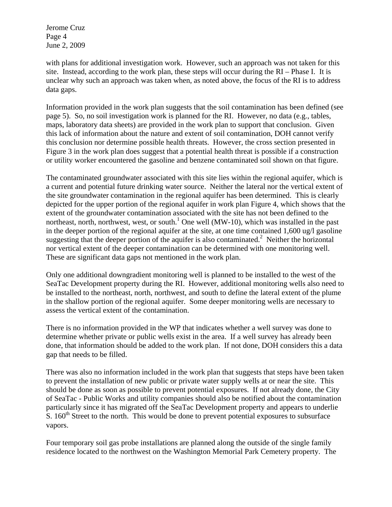Jerome Cruz Page 4 June 2, 2009

with plans for additional investigation work. However, such an approach was not taken for this site. Instead, according to the work plan, these steps will occur during the RI – Phase I. It is unclear why such an approach was taken when, as noted above, the focus of the RI is to address data gaps.

Information provided in the work plan suggests that the soil contamination has been defined (see page 5). So, no soil investigation work is planned for the RI. However, no data (e.g., tables, maps, laboratory data sheets) are provided in the work plan to support that conclusion. Given this lack of information about the nature and extent of soil contamination, DOH cannot verify this conclusion nor determine possible health threats. However, the cross section presented in Figure 3 in the work plan does suggest that a potential health threat is possible if a construction or utility worker encountered the gasoline and benzene contaminated soil shown on that figure.

The contaminated groundwater associated with this site lies within the regional aquifer, which is a current and potential future drinking water source. Neither the lateral nor the vertical extent of the site groundwater contamination in the regional aquifer has been determined. This is clearly depicted for the upper portion of the regional aquifer in work plan Figure 4, which shows that the extent of the groundwater contamination associated with the site has not been defined to the northeast, north, northwest, west, or south.<sup>1</sup> One well (MW-10), which was installed in the past in the deeper portion of the regional aquifer at the site, at one time contained 1,600 ug/l gasoline suggesting that the deeper portion of the aquifer is also contaminated. $2$  Neither the horizontal nor vertical extent of the deeper contamination can be determined with one monitoring well. These are significant data gaps not mentioned in the work plan.

Only one additional downgradient monitoring well is planned to be installed to the west of the SeaTac Development property during the RI. However, additional monitoring wells also need to be installed to the northeast, north, northwest, and south to define the lateral extent of the plume in the shallow portion of the regional aquifer. Some deeper monitoring wells are necessary to assess the vertical extent of the contamination.

There is no information provided in the WP that indicates whether a well survey was done to determine whether private or public wells exist in the area. If a well survey has already been done, that information should be added to the work plan. If not done, DOH considers this a data gap that needs to be filled.

There was also no information included in the work plan that suggests that steps have been taken to prevent the installation of new public or private water supply wells at or near the site. This should be done as soon as possible to prevent potential exposures. If not already done, the City of SeaTac - Public Works and utility companies should also be notified about the contamination particularly since it has migrated off the SeaTac Development property and appears to underlie S.  $160<sup>th</sup>$  Street to the north. This would be done to prevent potential exposures to subsurface vapors.

Four temporary soil gas probe installations are planned along the outside of the single family residence located to the northwest on the Washington Memorial Park Cemetery property. The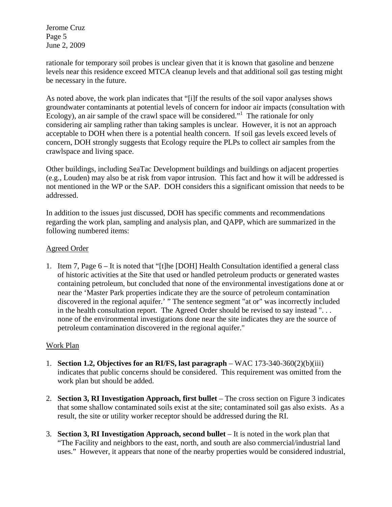Jerome Cruz Page 5 June 2, 2009

rationale for temporary soil probes is unclear given that it is known that gasoline and benzene levels near this residence exceed MTCA cleanup levels and that additional soil gas testing might be necessary in the future.

As noted above, the work plan indicates that "[i]f the results of the soil vapor analyses shows groundwater contaminants at potential levels of concern for indoor air impacts (consultation with Ecology), an air sample of the crawl space will be considered."<sup>1</sup> The rationale for only considering air sampling rather than taking samples is unclear. However, it is not an approach acceptable to DOH when there is a potential health concern. If soil gas levels exceed levels of concern, DOH strongly suggests that Ecology require the PLPs to collect air samples from the crawlspace and living space.

Other buildings, including SeaTac Development buildings and buildings on adjacent properties (e.g., Louden) may also be at risk from vapor intrusion. This fact and how it will be addressed is not mentioned in the WP or the SAP. DOH considers this a significant omission that needs to be addressed.

In addition to the issues just discussed, DOH has specific comments and recommendations regarding the work plan, sampling and analysis plan, and QAPP, which are summarized in the following numbered items:

#### Agreed Order

1. Item 7, Page 6 – It is noted that "[t]he [DOH] Health Consultation identified a general class of historic activities at the Site that used or handled petroleum products or generated wastes containing petroleum, but concluded that none of the environmental investigations done at or near the 'Master Park properties indicate they are the source of petroleum contamination discovered in the regional aquifer.' " The sentence segment "at or" was incorrectly included in the health consultation report. The Agreed Order should be revised to say instead ". . . none of the environmental investigations done near the site indicates they are the source of petroleum contamination discovered in the regional aquifer."

#### Work Plan

- 1. **Section 1.2, Objectives for an RI/FS, last paragraph** WAC  $173-340-360(2)(b)(iii)$ indicates that public concerns should be considered. This requirement was omitted from the work plan but should be added.
- 2. **Section 3, RI Investigation Approach, first bullet** The cross section on Figure 3 indicates that some shallow contaminated soils exist at the site; contaminated soil gas also exists. As a result, the site or utility worker receptor should be addressed during the RI.
- 3. **Section 3, RI Investigation Approach, second bullet** It is noted in the work plan that "The Facility and neighbors to the east, north, and south are also commercial/industrial land uses." However, it appears that none of the nearby properties would be considered industrial,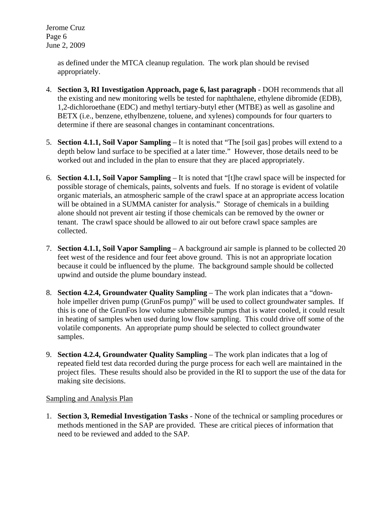Jerome Cruz Page 6 June 2, 2009

> as defined under the MTCA cleanup regulation. The work plan should be revised appropriately.

- 4. **Section 3, RI Investigation Approach, page 6, last paragraph**  DOH recommends that all the existing and new monitoring wells be tested for naphthalene, ethylene dibromide (EDB), 1,2-dichloroethane (EDC) and methyl tertiary-butyl ether (MTBE) as well as gasoline and BETX (i.e., benzene, ethylbenzene, toluene, and xylenes) compounds for four quarters to determine if there are seasonal changes in contaminant concentrations.
- 5. **Section 4.1.1, Soil Vapor Sampling** It is noted that "The [soil gas] probes will extend to a depth below land surface to be specified at a later time." However, those details need to be worked out and included in the plan to ensure that they are placed appropriately.
- 6. **Section 4.1.1, Soil Vapor Sampling** It is noted that "[t]he crawl space will be inspected for possible storage of chemicals, paints, solvents and fuels. If no storage is evident of volatile organic materials, an atmospheric sample of the crawl space at an appropriate access location will be obtained in a SUMMA canister for analysis." Storage of chemicals in a building alone should not prevent air testing if those chemicals can be removed by the owner or tenant. The crawl space should be allowed to air out before crawl space samples are collected.
- 7. **Section 4.1.1, Soil Vapor Sampling** A background air sample is planned to be collected 20 feet west of the residence and four feet above ground. This is not an appropriate location because it could be influenced by the plume. The background sample should be collected upwind and outside the plume boundary instead.
- 8. **Section 4.2.4, Groundwater Quality Sampling** The work plan indicates that a "downhole impeller driven pump (GrunFos pump)" will be used to collect groundwater samples. If this is one of the GrunFos low volume submersible pumps that is water cooled, it could result in heating of samples when used during low flow sampling. This could drive off some of the volatile components. An appropriate pump should be selected to collect groundwater samples.
- 9. **Section 4.2.4, Groundwater Quality Sampling** The work plan indicates that a log of repeated field test data recorded during the purge process for each well are maintained in the project files. These results should also be provided in the RI to support the use of the data for making site decisions.

#### Sampling and Analysis Plan

1. **Section 3, Remedial Investigation Tasks** - None of the technical or sampling procedures or methods mentioned in the SAP are provided. These are critical pieces of information that need to be reviewed and added to the SAP.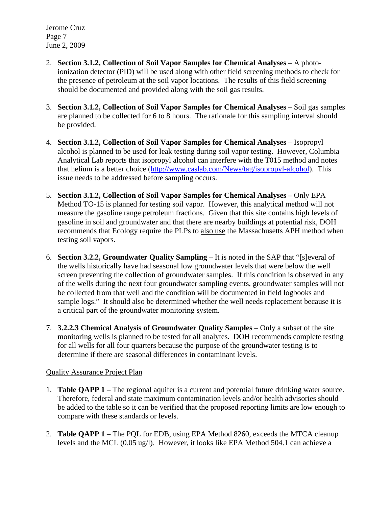Jerome Cruz Page 7 June 2, 2009

- 2. **Section 3.1.2, Collection of Soil Vapor Samples for Chemical Analyses** A photoionization detector (PID) will be used along with other field screening methods to check for the presence of petroleum at the soil vapor locations. The results of this field screening should be documented and provided along with the soil gas results.
- 3. **Section 3.1.2, Collection of Soil Vapor Samples for Chemical Analyses** Soil gas samples are planned to be collected for 6 to 8 hours. The rationale for this sampling interval should be provided.
- 4. **Section 3.1.2, Collection of Soil Vapor Samples for Chemical Analyses** Isopropyl alcohol is planned to be used for leak testing during soil vapor testing. However, Columbia Analytical Lab reports that isopropyl alcohol can interfere with the T015 method and notes that helium is a better choice (http://www.caslab.com/News/tag/isopropyl-alcohol). This issue needs to be addressed before sampling occurs.
- 5. **Section 3.1.2, Collection of Soil Vapor Samples for Chemical Analyses** Only EPA Method TO-15 is planned for testing soil vapor. However, this analytical method will not measure the gasoline range petroleum fractions. Given that this site contains high levels of gasoline in soil and groundwater and that there are nearby buildings at potential risk, DOH recommends that Ecology require the PLPs to also use the Massachusetts APH method when testing soil vapors.
- 6. **Section 3.2.2, Groundwater Quality Sampling**  It is noted in the SAP that "[s]everal of the wells historically have had seasonal low groundwater levels that were below the well screen preventing the collection of groundwater samples. If this condition is observed in any of the wells during the next four groundwater sampling events, groundwater samples will not be collected from that well and the condition will be documented in field logbooks and sample logs." It should also be determined whether the well needs replacement because it is a critical part of the groundwater monitoring system.
- 7. **3.2.2.3 Chemical Analysis of Groundwater Quality Samples** Only a subset of the site monitoring wells is planned to be tested for all analytes. DOH recommends complete testing for all wells for all four quarters because the purpose of the groundwater testing is to determine if there are seasonal differences in contaminant levels.

#### Quality Assurance Project Plan

- 1. **Table QAPP 1** The regional aquifer is a current and potential future drinking water source. Therefore, federal and state maximum contamination levels and/or health advisories should be added to the table so it can be verified that the proposed reporting limits are low enough to compare with these standards or levels.
- 2. **Table QAPP 1** The PQL for EDB, using EPA Method 8260, exceeds the MTCA cleanup levels and the MCL (0.05 ug/l). However, it looks like EPA Method 504.1 can achieve a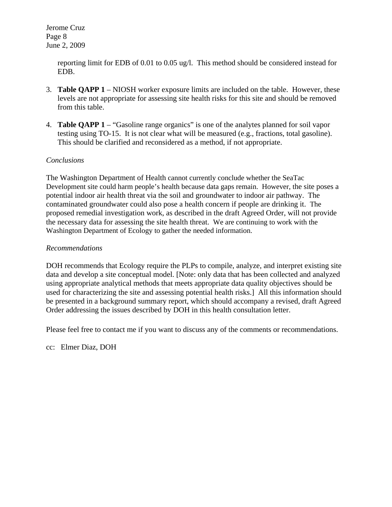Jerome Cruz Page 8 June 2, 2009

> reporting limit for EDB of 0.01 to 0.05 ug/l. This method should be considered instead for EDB.

- 3. **Table QAPP 1** NIOSH worker exposure limits are included on the table. However, these levels are not appropriate for assessing site health risks for this site and should be removed from this table.
- 4. **Table QAPP 1**  "Gasoline range organics" is one of the analytes planned for soil vapor testing using TO-15. It is not clear what will be measured (e.g., fractions, total gasoline). This should be clarified and reconsidered as a method, if not appropriate.

#### *Conclusions*

The Washington Department of Health cannot currently conclude whether the SeaTac Development site could harm people's health because data gaps remain. However, the site poses a potential indoor air health threat via the soil and groundwater to indoor air pathway. The contaminated groundwater could also pose a health concern if people are drinking it. The proposed remedial investigation work, as described in the draft Agreed Order, will not provide the necessary data for assessing the site health threat. We are continuing to work with the Washington Department of Ecology to gather the needed information.

#### *Recommendations*

DOH recommends that Ecology require the PLPs to compile, analyze, and interpret existing site data and develop a site conceptual model. [Note: only data that has been collected and analyzed using appropriate analytical methods that meets appropriate data quality objectives should be used for characterizing the site and assessing potential health risks.] All this information should be presented in a background summary report, which should accompany a revised, draft Agreed Order addressing the issues described by DOH in this health consultation letter.

Please feel free to contact me if you want to discuss any of the comments or recommendations.

cc: Elmer Diaz, DOH